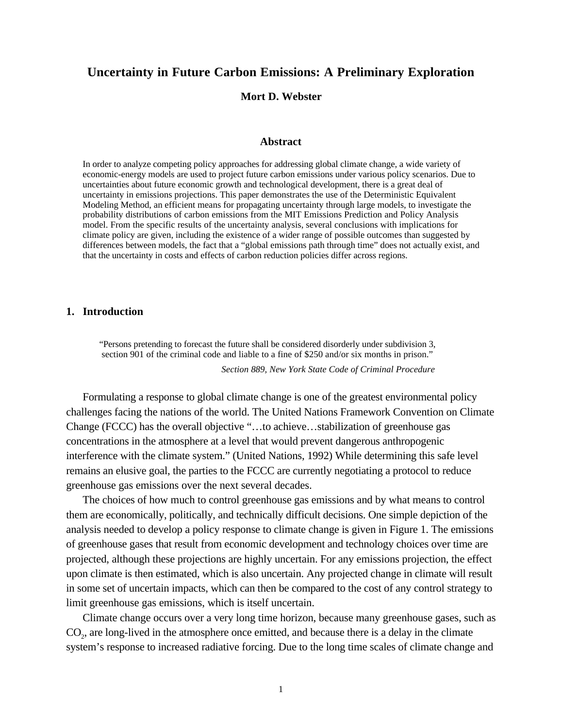# **Uncertainty in Future Carbon Emissions: A Preliminary Exploration**

**Mort D. Webster**

# **Abstract**

In order to analyze competing policy approaches for addressing global climate change, a wide variety of economic-energy models are used to project future carbon emissions under various policy scenarios. Due to uncertainties about future economic growth and technological development, there is a great deal of uncertainty in emissions projections. This paper demonstrates the use of the Deterministic Equivalent Modeling Method, an efficient means for propagating uncertainty through large models, to investigate the probability distributions of carbon emissions from the MIT Emissions Prediction and Policy Analysis model. From the specific results of the uncertainty analysis, several conclusions with implications for climate policy are given, including the existence of a wider range of possible outcomes than suggested by differences between models, the fact that a "global emissions path through time" does not actually exist, and that the uncertainty in costs and effects of carbon reduction policies differ across regions.

# **1. Introduction**

"Persons pretending to forecast the future shall be considered disorderly under subdivision 3, section 901 of the criminal code and liable to a fine of \$250 and/or six months in prison." *Section 889, New York State Code of Criminal Procedure*

Formulating a response to global climate change is one of the greatest environmental policy challenges facing the nations of the world. The United Nations Framework Convention on Climate Change (FCCC) has the overall objective "…to achieve…stabilization of greenhouse gas concentrations in the atmosphere at a level that would prevent dangerous anthropogenic interference with the climate system." (United Nations, 1992) While determining this safe level remains an elusive goal, the parties to the FCCC are currently negotiating a protocol to reduce greenhouse gas emissions over the next several decades.

The choices of how much to control greenhouse gas emissions and by what means to control them are economically, politically, and technically difficult decisions. One simple depiction of the analysis needed to develop a policy response to climate change is given in Figure 1. The emissions of greenhouse gases that result from economic development and technology choices over time are projected, although these projections are highly uncertain. For any emissions projection, the effect upon climate is then estimated, which is also uncertain. Any projected change in climate will result in some set of uncertain impacts, which can then be compared to the cost of any control strategy to limit greenhouse gas emissions, which is itself uncertain.

Climate change occurs over a very long time horizon, because many greenhouse gases, such as CO<sub>2</sub>, are long-lived in the atmosphere once emitted, and because there is a delay in the climate system's response to increased radiative forcing. Due to the long time scales of climate change and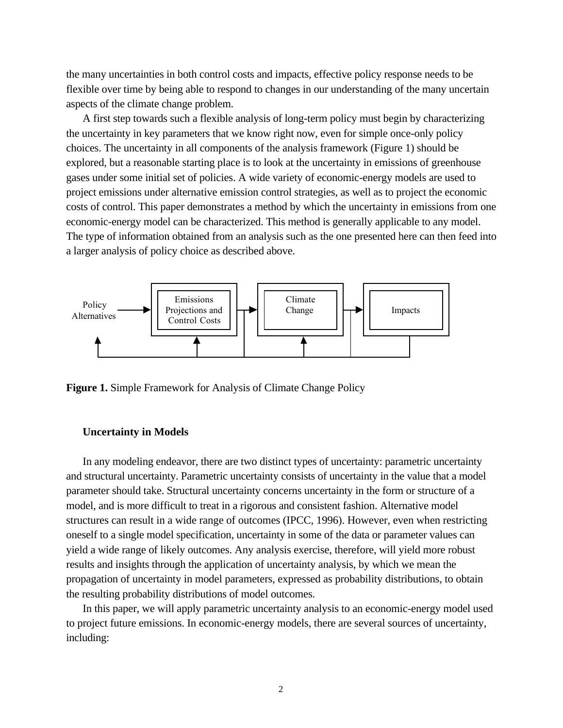the many uncertainties in both control costs and impacts, effective policy response needs to be flexible over time by being able to respond to changes in our understanding of the many uncertain aspects of the climate change problem.

A first step towards such a flexible analysis of long-term policy must begin by characterizing the uncertainty in key parameters that we know right now, even for simple once-only policy choices. The uncertainty in all components of the analysis framework (Figure 1) should be explored, but a reasonable starting place is to look at the uncertainty in emissions of greenhouse gases under some initial set of policies. A wide variety of economic-energy models are used to project emissions under alternative emission control strategies, as well as to project the economic costs of control. This paper demonstrates a method by which the uncertainty in emissions from one economic-energy model can be characterized. This method is generally applicable to any model. The type of information obtained from an analysis such as the one presented here can then feed into a larger analysis of policy choice as described above.



**Figure 1.** Simple Framework for Analysis of Climate Change Policy

# **Uncertainty in Models**

In any modeling endeavor, there are two distinct types of uncertainty: parametric uncertainty and structural uncertainty. Parametric uncertainty consists of uncertainty in the value that a model parameter should take. Structural uncertainty concerns uncertainty in the form or structure of a model, and is more difficult to treat in a rigorous and consistent fashion. Alternative model structures can result in a wide range of outcomes (IPCC, 1996). However, even when restricting oneself to a single model specification, uncertainty in some of the data or parameter values can yield a wide range of likely outcomes. Any analysis exercise, therefore, will yield more robust results and insights through the application of uncertainty analysis, by which we mean the propagation of uncertainty in model parameters, expressed as probability distributions, to obtain the resulting probability distributions of model outcomes.

In this paper, we will apply parametric uncertainty analysis to an economic-energy model used to project future emissions. In economic-energy models, there are several sources of uncertainty, including: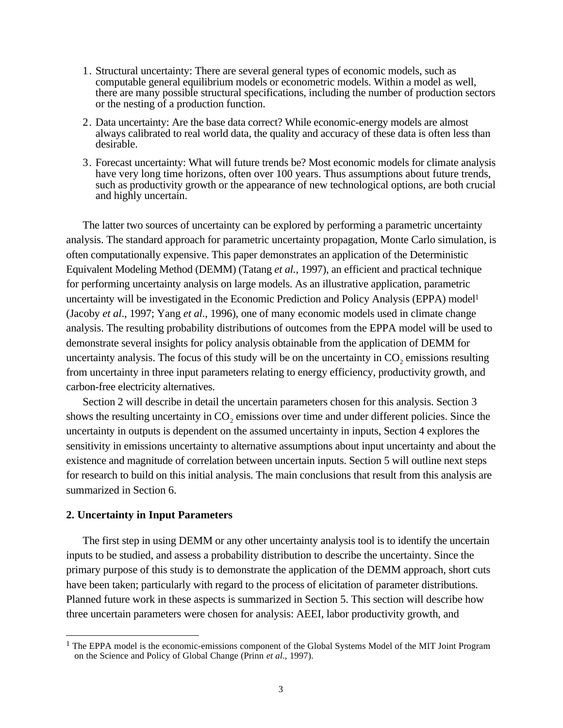- 1. Structural uncertainty: There are several general types of economic models, such as computable general equilibrium models or econometric models. Within a model as well, there are many possible structural specifications, including the number of production sectors or the nesting of a production function.
- 2. Data uncertainty: Are the base data correct? While economic-energy models are almost always calibrated to real world data, the quality and accuracy of these data is often less than desirable.
- 3. Forecast uncertainty: What will future trends be? Most economic models for climate analysis have very long time horizons, often over 100 years. Thus assumptions about future trends, such as productivity growth or the appearance of new technological options, are both crucial and highly uncertain.

The latter two sources of uncertainty can be explored by performing a parametric uncertainty analysis. The standard approach for parametric uncertainty propagation, Monte Carlo simulation, is often computationally expensive. This paper demonstrates an application of the Deterministic Equivalent Modeling Method (DEMM) (Tatang *et al.,* 1997), an efficient and practical technique for performing uncertainty analysis on large models. As an illustrative application, parametric uncertainty will be investigated in the Economic Prediction and Policy Analysis (EPPA) model<sup>1</sup> (Jacoby *et al*., 1997; Yang *et al*., 1996), one of many economic models used in climate change analysis. The resulting probability distributions of outcomes from the EPPA model will be used to demonstrate several insights for policy analysis obtainable from the application of DEMM for uncertainty analysis. The focus of this study will be on the uncertainty in  $CO<sub>2</sub>$  emissions resulting from uncertainty in three input parameters relating to energy efficiency, productivity growth, and carbon-free electricity alternatives.

Section 2 will describe in detail the uncertain parameters chosen for this analysis. Section 3 shows the resulting uncertainty in CO<sub>2</sub> emissions over time and under different policies. Since the uncertainty in outputs is dependent on the assumed uncertainty in inputs, Section 4 explores the sensitivity in emissions uncertainty to alternative assumptions about input uncertainty and about the existence and magnitude of correlation between uncertain inputs. Section 5 will outline next steps for research to build on this initial analysis. The main conclusions that result from this analysis are summarized in Section 6.

# **2. Uncertainty in Input Parameters**

<u>.</u>

The first step in using DEMM or any other uncertainty analysis tool is to identify the uncertain inputs to be studied, and assess a probability distribution to describe the uncertainty. Since the primary purpose of this study is to demonstrate the application of the DEMM approach, short cuts have been taken; particularly with regard to the process of elicitation of parameter distributions. Planned future work in these aspects is summarized in Section 5. This section will describe how three uncertain parameters were chosen for analysis: AEEI, labor productivity growth, and

 $<sup>1</sup>$  The EPPA model is the economic-emissions component of the Global Systems Model of the MIT Joint Program</sup> on the Science and Policy of Global Change (Prinn *et al*., 1997).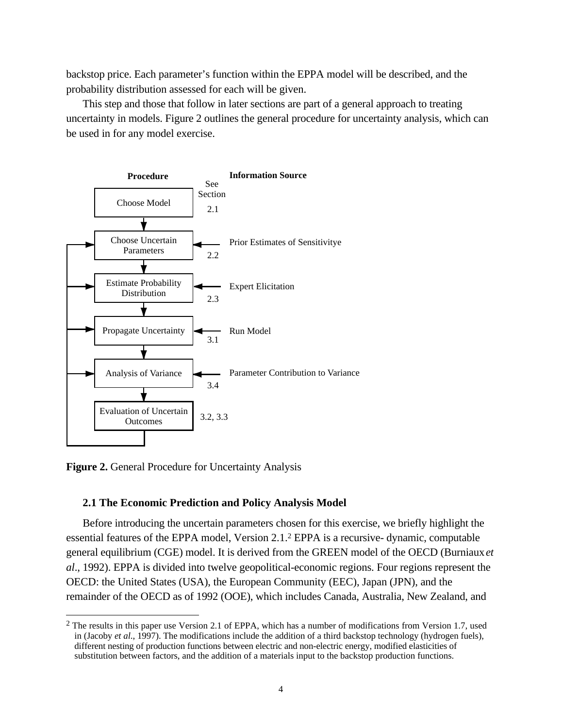backstop price. Each parameter's function within the EPPA model will be described, and the probability distribution assessed for each will be given.

This step and those that follow in later sections are part of a general approach to treating uncertainty in models. Figure 2 outlines the general procedure for uncertainty analysis, which can be used in for any model exercise.



**Figure 2.** General Procedure for Uncertainty Analysis

<u>.</u>

# **2.1 The Economic Prediction and Policy Analysis Model**

Before introducing the uncertain parameters chosen for this exercise, we briefly highlight the essential features of the EPPA model, Version 2.1.2 EPPA is a recursive- dynamic, computable general equilibrium (CGE) model. It is derived from the GREEN model of the OECD (Burniaux *et al*., 1992). EPPA is divided into twelve geopolitical-economic regions. Four regions represent the OECD: the United States (USA), the European Community (EEC), Japan (JPN), and the remainder of the OECD as of 1992 (OOE), which includes Canada, Australia, New Zealand, and

<sup>&</sup>lt;sup>2</sup> The results in this paper use Version 2.1 of EPPA, which has a number of modifications from Version 1.7, used in (Jacoby *et al*., 1997). The modifications include the addition of a third backstop technology (hydrogen fuels), different nesting of production functions between electric and non-electric energy, modified elasticities of substitution between factors, and the addition of a materials input to the backstop production functions.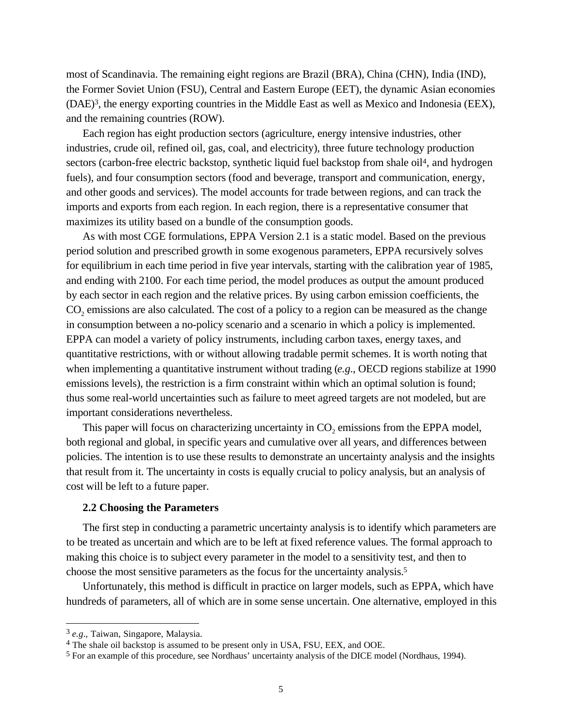most of Scandinavia. The remaining eight regions are Brazil (BRA), China (CHN), India (IND), the Former Soviet Union (FSU), Central and Eastern Europe (EET), the dynamic Asian economies (DAE)3, the energy exporting countries in the Middle East as well as Mexico and Indonesia (EEX), and the remaining countries (ROW).

Each region has eight production sectors (agriculture, energy intensive industries, other industries, crude oil, refined oil, gas, coal, and electricity), three future technology production sectors (carbon-free electric backstop, synthetic liquid fuel backstop from shale oil<sup>4</sup>, and hydrogen fuels), and four consumption sectors (food and beverage, transport and communication, energy, and other goods and services). The model accounts for trade between regions, and can track the imports and exports from each region. In each region, there is a representative consumer that maximizes its utility based on a bundle of the consumption goods.

As with most CGE formulations, EPPA Version 2.1 is a static model. Based on the previous period solution and prescribed growth in some exogenous parameters, EPPA recursively solves for equilibrium in each time period in five year intervals, starting with the calibration year of 1985, and ending with 2100. For each time period, the model produces as output the amount produced by each sector in each region and the relative prices. By using carbon emission coefficients, the  $CO<sub>2</sub>$  emissions are also calculated. The cost of a policy to a region can be measured as the change in consumption between a no-policy scenario and a scenario in which a policy is implemented. EPPA can model a variety of policy instruments, including carbon taxes, energy taxes, and quantitative restrictions, with or without allowing tradable permit schemes. It is worth noting that when implementing a quantitative instrument without trading (*e.g*., OECD regions stabilize at 1990 emissions levels), the restriction is a firm constraint within which an optimal solution is found; thus some real-world uncertainties such as failure to meet agreed targets are not modeled, but are important considerations nevertheless.

This paper will focus on characterizing uncertainty in CO<sub>2</sub> emissions from the EPPA model, both regional and global, in specific years and cumulative over all years, and differences between policies. The intention is to use these results to demonstrate an uncertainty analysis and the insights that result from it. The uncertainty in costs is equally crucial to policy analysis, but an analysis of cost will be left to a future paper.

#### **2.2 Choosing the Parameters**

The first step in conducting a parametric uncertainty analysis is to identify which parameters are to be treated as uncertain and which are to be left at fixed reference values. The formal approach to making this choice is to subject every parameter in the model to a sensitivity test, and then to choose the most sensitive parameters as the focus for the uncertainty analysis.5

Unfortunately, this method is difficult in practice on larger models, such as EPPA, which have hundreds of parameters, all of which are in some sense uncertain. One alternative, employed in this

 $\overline{a}$ 

<sup>3</sup> *e.g*., Taiwan, Singapore, Malaysia.

<sup>4</sup> The shale oil backstop is assumed to be present only in USA, FSU, EEX, and OOE.

<sup>5</sup> For an example of this procedure, see Nordhaus' uncertainty analysis of the DICE model (Nordhaus, 1994).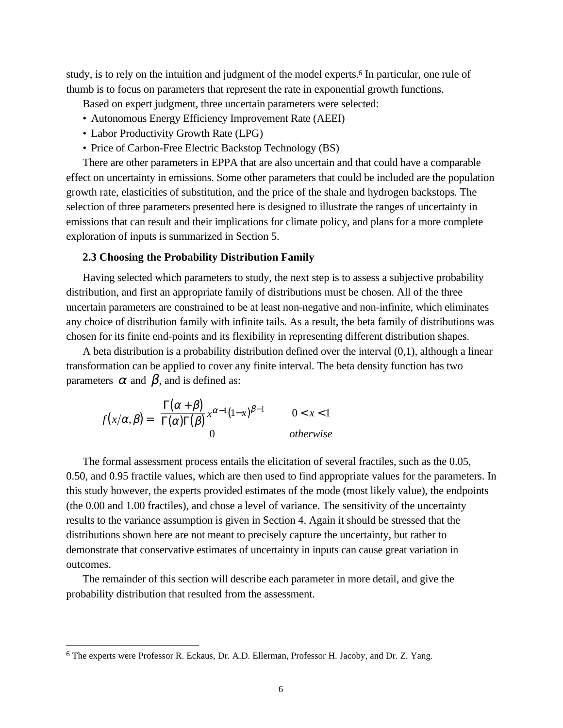study, is to rely on the intuition and judgment of the model experts.6 In particular, one rule of thumb is to focus on parameters that represent the rate in exponential growth functions.

Based on expert judgment, three uncertain parameters were selected:

- Autonomous Energy Efficiency Improvement Rate (AEEI)
- Labor Productivity Growth Rate (LPG)
- Price of Carbon-Free Electric Backstop Technology (BS)

There are other parameters in EPPA that are also uncertain and that could have a comparable effect on uncertainty in emissions. Some other parameters that could be included are the population growth rate, elasticities of substitution, and the price of the shale and hydrogen backstops. The selection of three parameters presented here is designed to illustrate the ranges of uncertainty in emissions that can result and their implications for climate policy, and plans for a more complete exploration of inputs is summarized in Section 5.

### **2.3 Choosing the Probability Distribution Family**

Having selected which parameters to study, the next step is to assess a subjective probability distribution, and first an appropriate family of distributions must be chosen. All of the three uncertain parameters are constrained to be at least non-negative and non-infinite, which eliminates any choice of distribution family with infinite tails. As a result, the beta family of distributions was chosen for its finite end-points and its flexibility in representing different distribution shapes.

A beta distribution is a probability distribution defined over the interval (0,1), although a linear transformation can be applied to cover any finite interval. The beta density function has two parameters  $\alpha$  and  $\beta$ , and is defined as:

$$
f(x/\alpha, \beta) = \begin{cases} \frac{\Gamma(\alpha + \beta)}{\Gamma(\alpha)\Gamma(\beta)} x^{\alpha - 1}(1 - x)^{\beta - 1} & 0 < x < 1 \\ 0 & \text{otherwise} \end{cases}
$$

The formal assessment process entails the elicitation of several fractiles, such as the 0.05, 0.50, and 0.95 fractile values, which are then used to find appropriate values for the parameters. In this study however, the experts provided estimates of the mode (most likely value), the endpoints (the 0.00 and 1.00 fractiles), and chose a level of variance. The sensitivity of the uncertainty results to the variance assumption is given in Section 4. Again it should be stressed that the distributions shown here are not meant to precisely capture the uncertainty, but rather to demonstrate that conservative estimates of uncertainty in inputs can cause great variation in outcomes.

The remainder of this section will describe each parameter in more detail, and give the probability distribution that resulted from the assessment.

<u>.</u>

<sup>6</sup> The experts were Professor R. Eckaus, Dr. A.D. Ellerman, Professor H. Jacoby, and Dr. Z. Yang.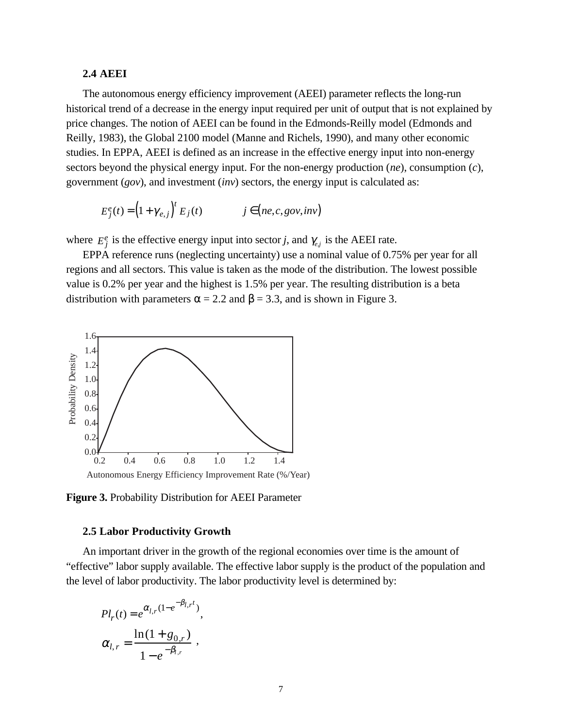### **2.4 AEEI**

The autonomous energy efficiency improvement (AEEI) parameter reflects the long-run historical trend of a decrease in the energy input required per unit of output that is not explained by price changes. The notion of AEEI can be found in the Edmonds-Reilly model (Edmonds and Reilly, 1983), the Global 2100 model (Manne and Richels, 1990), and many other economic studies. In EPPA, AEEI is defined as an increase in the effective energy input into non-energy sectors beyond the physical energy input. For the non-energy production (*ne*), consumption (*c*), government (*gov*), and investment (*inv*) sectors, the energy input is calculated as:

$$
E_j^e(t) = \left(1 + \gamma_{e,j}\right)^t E_j(t) \qquad j \in \left(ne, c, gov, inv\right)
$$

where  $E_j^e$  is the effective energy input into sector *j*, and  $\gamma_{e,j}$  is the AEEI rate.

EPPA reference runs (neglecting uncertainty) use a nominal value of 0.75% per year for all regions and all sectors. This value is taken as the mode of the distribution. The lowest possible value is 0.2% per year and the highest is 1.5% per year. The resulting distribution is a beta distribution with parameters  $\alpha = 2.2$  and  $\beta = 3.3$ , and is shown in Figure 3.



**Figure 3.** Probability Distribution for AEEI Parameter

#### **2.5 Labor Productivity Growth**

An important driver in the growth of the regional economies over time is the amount of "effective" labor supply available. The effective labor supply is the product of the population and the level of labor productivity. The labor productivity level is determined by:

$$
Pl_r(t) = e^{\alpha_{l,r}(1 - e^{-\beta_{l,r}t})},
$$

$$
\alpha_{l,r} = \frac{\ln(1 + g_{0,r})}{1 - e^{-\beta_{l,r}}},
$$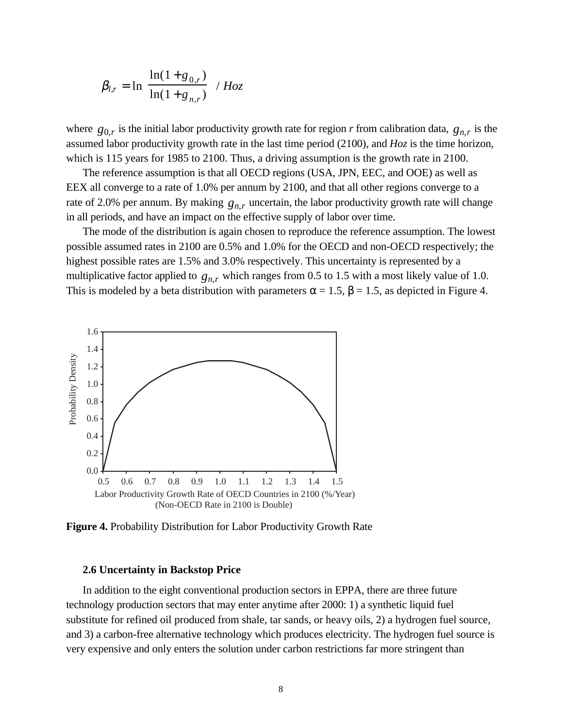$$
\beta_{l,r} = \ln\left[\frac{\ln(1+g_{0,r})}{\ln(1+g_{n,r})}\right] / Hoz
$$

where  $g_{0,r}$  is the initial labor productivity growth rate for region *r* from calibration data,  $g_{n,r}$  is the assumed labor productivity growth rate in the last time period (2100), and *Hoz* is the time horizon, which is 115 years for 1985 to 2100. Thus, a driving assumption is the growth rate in 2100.

The reference assumption is that all OECD regions (USA, JPN, EEC, and OOE) as well as EEX all converge to a rate of 1.0% per annum by 2100, and that all other regions converge to a rate of 2.0% per annum. By making  $g_{n,r}$  uncertain, the labor productivity growth rate will change in all periods, and have an impact on the effective supply of labor over time.

The mode of the distribution is again chosen to reproduce the reference assumption. The lowest possible assumed rates in 2100 are 0.5% and 1.0% for the OECD and non-OECD respectively; the highest possible rates are 1.5% and 3.0% respectively. This uncertainty is represented by a multiplicative factor applied to  $g_{n,r}$  which ranges from 0.5 to 1.5 with a most likely value of 1.0. This is modeled by a beta distribution with parameters  $\alpha = 1.5$ ,  $\beta = 1.5$ , as depicted in Figure 4.



**Figure 4.** Probability Distribution for Labor Productivity Growth Rate

#### **2.6 Uncertainty in Backstop Price**

In addition to the eight conventional production sectors in EPPA, there are three future technology production sectors that may enter anytime after 2000: 1) a synthetic liquid fuel substitute for refined oil produced from shale, tar sands, or heavy oils, 2) a hydrogen fuel source, and 3) a carbon-free alternative technology which produces electricity. The hydrogen fuel source is very expensive and only enters the solution under carbon restrictions far more stringent than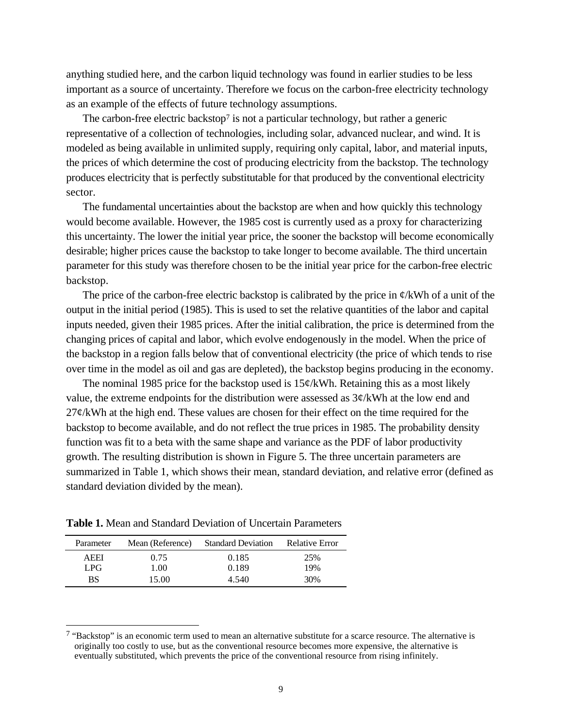anything studied here, and the carbon liquid technology was found in earlier studies to be less important as a source of uncertainty. Therefore we focus on the carbon-free electricity technology as an example of the effects of future technology assumptions.

The carbon-free electric backstop<sup>7</sup> is not a particular technology, but rather a generic representative of a collection of technologies, including solar, advanced nuclear, and wind. It is modeled as being available in unlimited supply, requiring only capital, labor, and material inputs, the prices of which determine the cost of producing electricity from the backstop. The technology produces electricity that is perfectly substitutable for that produced by the conventional electricity sector.

The fundamental uncertainties about the backstop are when and how quickly this technology would become available. However, the 1985 cost is currently used as a proxy for characterizing this uncertainty. The lower the initial year price, the sooner the backstop will become economically desirable; higher prices cause the backstop to take longer to become available. The third uncertain parameter for this study was therefore chosen to be the initial year price for the carbon-free electric backstop.

The price of the carbon-free electric backstop is calibrated by the price in  $\phi$ /kWh of a unit of the output in the initial period (1985). This is used to set the relative quantities of the labor and capital inputs needed, given their 1985 prices. After the initial calibration, the price is determined from the changing prices of capital and labor, which evolve endogenously in the model. When the price of the backstop in a region falls below that of conventional electricity (the price of which tends to rise over time in the model as oil and gas are depleted), the backstop begins producing in the economy.

The nominal 1985 price for the backstop used is  $15¢/kWh$ . Retaining this as a most likely value, the extreme endpoints for the distribution were assessed as 3¢/kWh at the low end and  $27¢/kWh$  at the high end. These values are chosen for their effect on the time required for the backstop to become available, and do not reflect the true prices in 1985. The probability density function was fit to a beta with the same shape and variance as the PDF of labor productivity growth. The resulting distribution is shown in Figure 5. The three uncertain parameters are summarized in Table 1, which shows their mean, standard deviation, and relative error (defined as standard deviation divided by the mean).

**Table 1.** Mean and Standard Deviation of Uncertain Parameters

| Parameter | Mean (Reference) | <b>Standard Deviation</b> | <b>Relative Error</b> |
|-----------|------------------|---------------------------|-----------------------|
| AEEI      | 0.75             | 0.185                     | 25%                   |
| LPG.      | 1.00             | 0.189                     | 19%                   |
| BS        | 15.00            | 4.540                     | 30%                   |
|           |                  |                           |                       |

 $\overline{a}$ 

<sup>7 &</sup>quot;Backstop" is an economic term used to mean an alternative substitute for a scarce resource. The alternative is originally too costly to use, but as the conventional resource becomes more expensive, the alternative is eventually substituted, which prevents the price of the conventional resource from rising infinitely.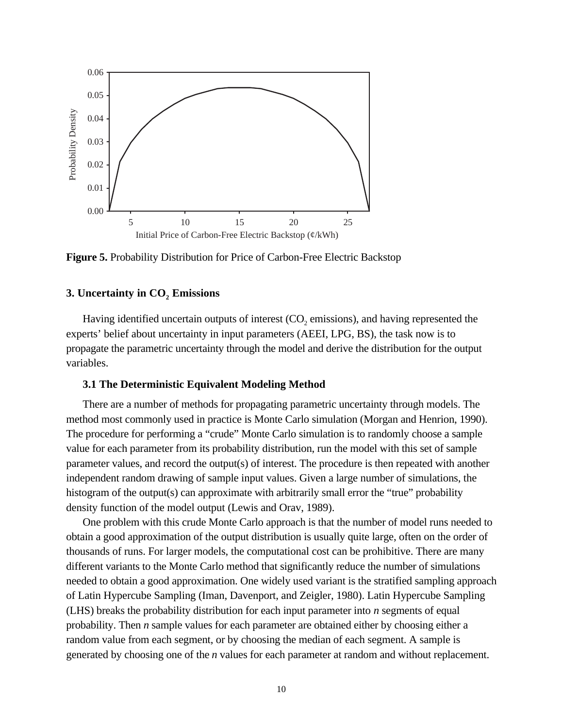

**Figure 5.** Probability Distribution for Price of Carbon-Free Electric Backstop

# **3. Uncertainty in CO<sub>2</sub> Emissions**

Having identified uncertain outputs of interest  $(CO<sub>2</sub>$  emissions), and having represented the experts' belief about uncertainty in input parameters (AEEI, LPG, BS), the task now is to propagate the parametric uncertainty through the model and derive the distribution for the output variables.

# **3.1 The Deterministic Equivalent Modeling Method**

There are a number of methods for propagating parametric uncertainty through models. The method most commonly used in practice is Monte Carlo simulation (Morgan and Henrion, 1990). The procedure for performing a "crude" Monte Carlo simulation is to randomly choose a sample value for each parameter from its probability distribution, run the model with this set of sample parameter values, and record the output(s) of interest. The procedure is then repeated with another independent random drawing of sample input values. Given a large number of simulations, the histogram of the output(s) can approximate with arbitrarily small error the "true" probability density function of the model output (Lewis and Orav, 1989).

One problem with this crude Monte Carlo approach is that the number of model runs needed to obtain a good approximation of the output distribution is usually quite large, often on the order of thousands of runs. For larger models, the computational cost can be prohibitive. There are many different variants to the Monte Carlo method that significantly reduce the number of simulations needed to obtain a good approximation. One widely used variant is the stratified sampling approach of Latin Hypercube Sampling (Iman, Davenport, and Zeigler, 1980). Latin Hypercube Sampling (LHS) breaks the probability distribution for each input parameter into *n* segments of equal probability. Then *n* sample values for each parameter are obtained either by choosing either a random value from each segment, or by choosing the median of each segment. A sample is generated by choosing one of the *n* values for each parameter at random and without replacement.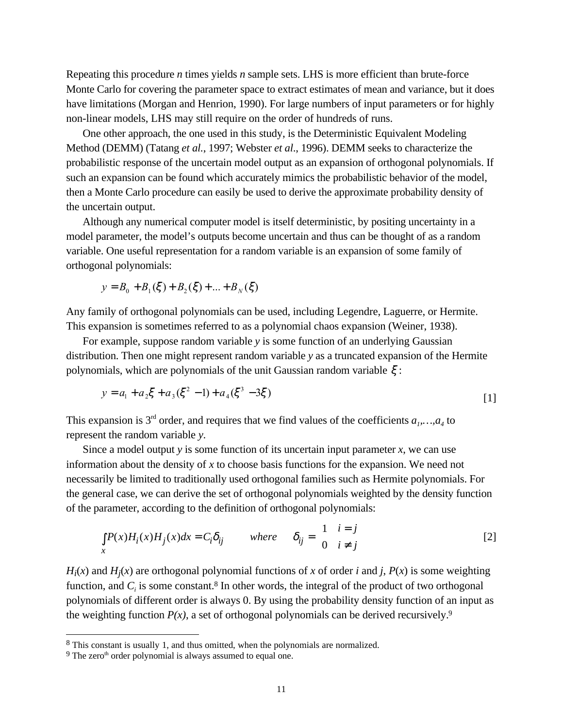Repeating this procedure *n* times yields *n* sample sets. LHS is more efficient than brute-force Monte Carlo for covering the parameter space to extract estimates of mean and variance, but it does have limitations (Morgan and Henrion, 1990). For large numbers of input parameters or for highly non-linear models, LHS may still require on the order of hundreds of runs.

One other approach, the one used in this study, is the Deterministic Equivalent Modeling Method (DEMM) (Tatang *et al.*, 1997; Webster *et al*., 1996). DEMM seeks to characterize the probabilistic response of the uncertain model output as an expansion of orthogonal polynomials. If such an expansion can be found which accurately mimics the probabilistic behavior of the model, then a Monte Carlo procedure can easily be used to derive the approximate probability density of the uncertain output.

Although any numerical computer model is itself deterministic, by positing uncertainty in a model parameter, the model's outputs become uncertain and thus can be thought of as a random variable. One useful representation for a random variable is an expansion of some family of orthogonal polynomials:

$$
y = B_0 + B_1(\xi) + B_2(\xi) + \dots + B_N(\xi)
$$

Any family of orthogonal polynomials can be used, including Legendre, Laguerre, or Hermite. This expansion is sometimes referred to as a polynomial chaos expansion (Weiner, 1938).

For example, suppose random variable *y* is some function of an underlying Gaussian distribution. Then one might represent random variable *y* as a truncated expansion of the Hermite polynomials, which are polynomials of the unit Gaussian random variable  $\xi$ :

$$
y = a_1 + a_2 \xi + a_3 (\xi^2 - 1) + a_4 (\xi^3 - 3\xi)
$$
 [1]

This expansion is 3<sup>rd</sup> order, and requires that we find values of the coefficients  $a_1, ..., a_4$  to represent the random variable *y*.

Since a model output *y* is some function of its uncertain input parameter *x*, we can use information about the density of *x* to choose basis functions for the expansion. We need not necessarily be limited to traditionally used orthogonal families such as Hermite polynomials. For the general case, we can derive the set of orthogonal polynomials weighted by the density function of the parameter, according to the definition of orthogonal polynomials:

$$
\int_{x} P(x)H_{i}(x)H_{j}(x)dx = C_{i}\delta_{ij} \qquad \text{where} \qquad \delta_{ij} = \begin{cases} 1 & i = j \\ 0 & i \neq j \end{cases} \tag{2}
$$

 $H_i(x)$  and  $H_i(x)$  are orthogonal polynomial functions of *x* of order *i* and *j*,  $P(x)$  is some weighting function, and  $C_i$  is some constant.<sup>8</sup> In other words, the integral of the product of two orthogonal polynomials of different order is always 0. By using the probability density function of an input as the weighting function  $P(x)$ , a set of orthogonal polynomials can be derived recursively.<sup>9</sup>

 $\overline{a}$ 

<sup>8</sup> This constant is usually 1, and thus omitted, when the polynomials are normalized.

 $9$  The zero<sup>th</sup> order polynomial is always assumed to equal one.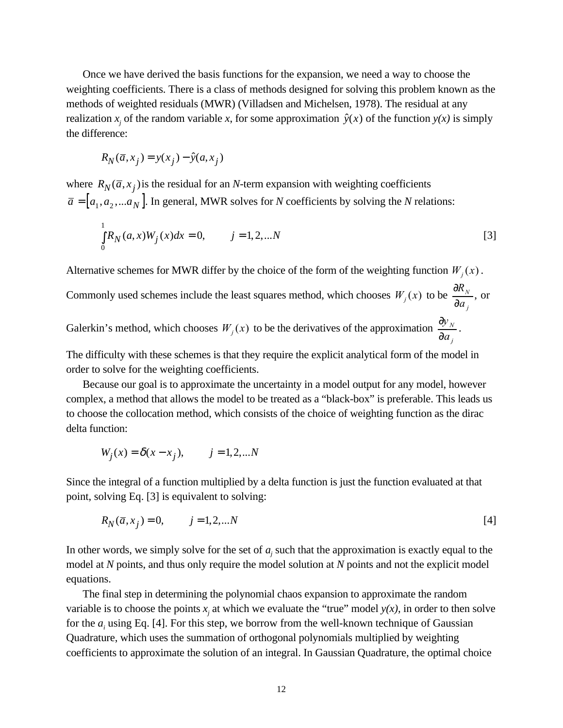Once we have derived the basis functions for the expansion, we need a way to choose the weighting coefficients. There is a class of methods designed for solving this problem known as the methods of weighted residuals (MWR) (Villadsen and Michelsen, 1978). The residual at any realization  $x_j$  of the random variable  $x$ , for some approximation  $\hat{y}(x)$  of the function  $y(x)$  is simply the difference:

$$
R_N(\overline{a}, x_j) = y(x_j) - \hat{y}(a, x_j)
$$

where  $R_N(\bar{a}, x_j)$  is the residual for an *N*-term expansion with weighting coefficients  $\overline{a} = [ a_1, a_2, ... a_N ]$ . In general, MWR solves for *N* coefficients by solving the *N* relations:

$$
\int_{0}^{1} R_N(a, x) W_j(x) dx = 0, \qquad j = 1, 2, \dots N
$$

Alternative schemes for MWR differ by the choice of the form of the weighting function  $W_i(x)$ .

Commonly used schemes include the least squares method, which chooses  $W_j(x)$  to be *j N a R* ∂  $\frac{\partial R_N}{\partial x}$ , or

Galerkin's method, which chooses  $W_j(x)$  to be the derivatives of the approximation *j N a y* ∂  $\frac{\partial y_{N}}{\partial x}$ .

The difficulty with these schemes is that they require the explicit analytical form of the model in order to solve for the weighting coefficients.

Because our goal is to approximate the uncertainty in a model output for any model, however complex, a method that allows the model to be treated as a "black-box" is preferable. This leads us to choose the collocation method, which consists of the choice of weighting function as the dirac delta function:

$$
W_j(x) = \delta(x - x_j),
$$
   
  $j = 1, 2, ...N$ 

Since the integral of a function multiplied by a delta function is just the function evaluated at that point, solving Eq. [3] is equivalent to solving:

$$
R_N(\bar{a}, x_j) = 0, \qquad j = 1, 2, \dots N
$$
 [4]

In other words, we simply solve for the set of  $a_j$  such that the approximation is exactly equal to the model at *N* points, and thus only require the model solution at *N* points and not the explicit model equations.

The final step in determining the polynomial chaos expansion to approximate the random variable is to choose the points  $x_j$  at which we evaluate the "true" model  $y(x)$ , in order to then solve for the  $a_i$  using Eq. [4]. For this step, we borrow from the well-known technique of Gaussian Quadrature, which uses the summation of orthogonal polynomials multiplied by weighting coefficients to approximate the solution of an integral. In Gaussian Quadrature, the optimal choice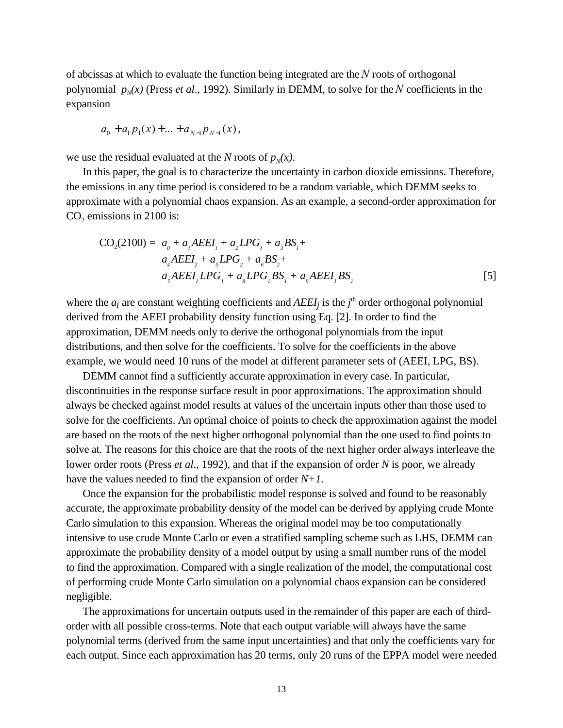of abcissas at which to evaluate the function being integrated are the*N* roots of orthogonal polynomial  $p_N(x)$  (Press *et al.*, 1992). Similarly in DEMM, to solve for the N coefficients in the expansion

$$
a_0 + a_1 p_1(x) + \ldots + a_{N-1} p_{N-1}(x),
$$

we use the residual evaluated at the *N* roots of  $p<sub>N</sub>(x)$ .

In this paper, the goal is to characterize the uncertainty in carbon dioxide emissions. Therefore, the emissions in any time period is considered to be a random variable, which DEMM seeks to approximate with a polynomial chaos expansion. As an example, a second-order approximation for  $CO<sub>2</sub>$  emissions in 2100 is:

$$
CO2(2100) = ao + a1AEEI1 + a2LPG1 + a3BS1 +a4AEEI2 + a5LPG2 + a6BS2 +a7AEEI1LPG1 + a8LPG1BS1 + a9AEEI1BS1
$$
\n[5]

where the  $a_i$  are constant weighting coefficients and  $AEEI_j$  is the  $j<sup>th</sup>$  order orthogonal polynomial derived from the AEEI probability density function using Eq. [2]. In order to find the approximation, DEMM needs only to derive the orthogonal polynomials from the input distributions, and then solve for the coefficients. To solve for the coefficients in the above example, we would need 10 runs of the model at different parameter sets of (AEEI, LPG, BS).

DEMM cannot find a sufficiently accurate approximation in every case. In particular, discontinuities in the response surface result in poor approximations. The approximation should always be checked against model results at values of the uncertain inputs other than those used to solve for the coefficients. An optimal choice of points to check the approximation against the model are based on the roots of the next higher orthogonal polynomial than the one used to find points to solve at. The reasons for this choice are that the roots of the next higher order always interleave the lower order roots (Press *et al*., 1992), and that if the expansion of order *N* is poor, we already have the values needed to find the expansion of order *N+1*.

Once the expansion for the probabilistic model response is solved and found to be reasonably accurate, the approximate probability density of the model can be derived by applying crude Monte Carlo simulation to this expansion. Whereas the original model may be too computationally intensive to use crude Monte Carlo or even a stratified sampling scheme such as LHS, DEMM can approximate the probability density of a model output by using a small number runs of the model to find the approximation. Compared with a single realization of the model, the computational cost of performing crude Monte Carlo simulation on a polynomial chaos expansion can be considered negligible.

The approximations for uncertain outputs used in the remainder of this paper are each of thirdorder with all possible cross-terms. Note that each output variable will always have the same polynomial terms (derived from the same input uncertainties) and that only the coefficients vary for each output. Since each approximation has 20 terms, only 20 runs of the EPPA model were needed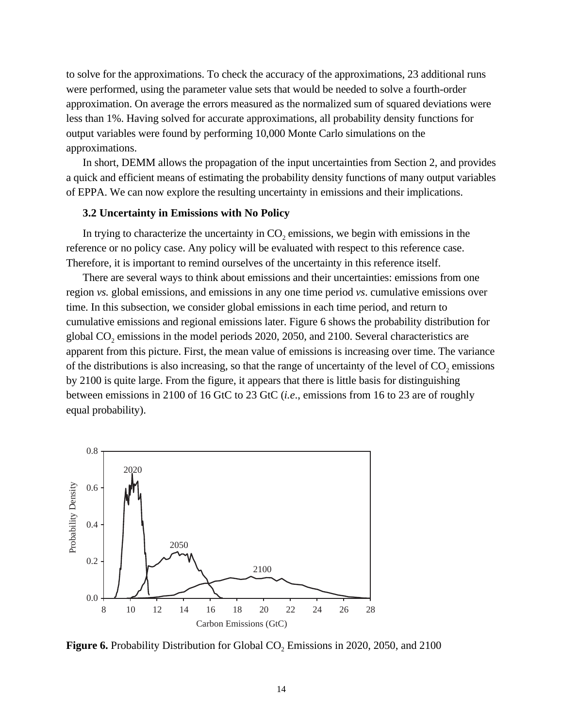to solve for the approximations. To check the accuracy of the approximations, 23 additional runs were performed, using the parameter value sets that would be needed to solve a fourth-order approximation. On average the errors measured as the normalized sum of squared deviations were less than 1%. Having solved for accurate approximations, all probability density functions for output variables were found by performing 10,000 Monte Carlo simulations on the approximations.

In short, DEMM allows the propagation of the input uncertainties from Section 2, and provides a quick and efficient means of estimating the probability density functions of many output variables of EPPA. We can now explore the resulting uncertainty in emissions and their implications.

#### **3.2 Uncertainty in Emissions with No Policy**

In trying to characterize the uncertainty in  $CO<sub>2</sub>$  emissions, we begin with emissions in the reference or no policy case. Any policy will be evaluated with respect to this reference case. Therefore, it is important to remind ourselves of the uncertainty in this reference itself.

There are several ways to think about emissions and their uncertainties: emissions from one region *vs.* global emissions, and emissions in any one time period *vs*. cumulative emissions over time. In this subsection, we consider global emissions in each time period, and return to cumulative emissions and regional emissions later. Figure 6 shows the probability distribution for global  $CO<sub>2</sub>$  emissions in the model periods 2020, 2050, and 2100. Several characteristics are apparent from this picture. First, the mean value of emissions is increasing over time. The variance of the distributions is also increasing, so that the range of uncertainty of the level of  $CO<sub>2</sub>$  emissions by 2100 is quite large. From the figure, it appears that there is little basis for distinguishing between emissions in 2100 of 16 GtC to 23 GtC (*i.e*., emissions from 16 to 23 are of roughly equal probability).



**Figure 6.** Probability Distribution for Global CO<sub>2</sub> Emissions in 2020, 2050, and 2100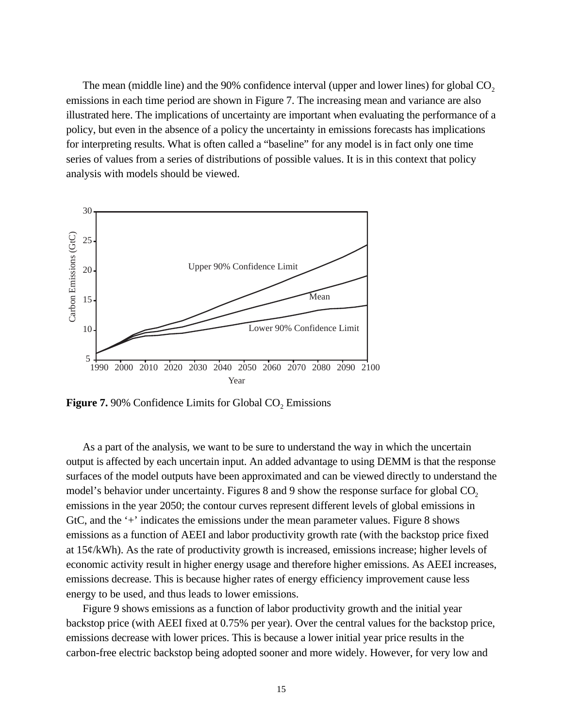The mean (middle line) and the  $90\%$  confidence interval (upper and lower lines) for global  $CO<sub>2</sub>$ emissions in each time period are shown in Figure 7. The increasing mean and variance are also illustrated here. The implications of uncertainty are important when evaluating the performance of a policy, but even in the absence of a policy the uncertainty in emissions forecasts has implications for interpreting results. What is often called a "baseline" for any model is in fact only one time series of values from a series of distributions of possible values. It is in this context that policy analysis with models should be viewed.



**Figure 7.** 90% Confidence Limits for Global  $CO<sub>2</sub>$  Emissions

As a part of the analysis, we want to be sure to understand the way in which the uncertain output is affected by each uncertain input. An added advantage to using DEMM is that the response surfaces of the model outputs have been approximated and can be viewed directly to understand the model's behavior under uncertainty. Figures 8 and 9 show the response surface for global CO<sub>2</sub> emissions in the year 2050; the contour curves represent different levels of global emissions in GtC, and the '+' indicates the emissions under the mean parameter values. Figure 8 shows emissions as a function of AEEI and labor productivity growth rate (with the backstop price fixed at  $15¢/kWh$ ). As the rate of productivity growth is increased, emissions increase; higher levels of economic activity result in higher energy usage and therefore higher emissions. As AEEI increases, emissions decrease. This is because higher rates of energy efficiency improvement cause less energy to be used, and thus leads to lower emissions.

Figure 9 shows emissions as a function of labor productivity growth and the initial year backstop price (with AEEI fixed at 0.75% per year). Over the central values for the backstop price, emissions decrease with lower prices. This is because a lower initial year price results in the carbon-free electric backstop being adopted sooner and more widely. However, for very low and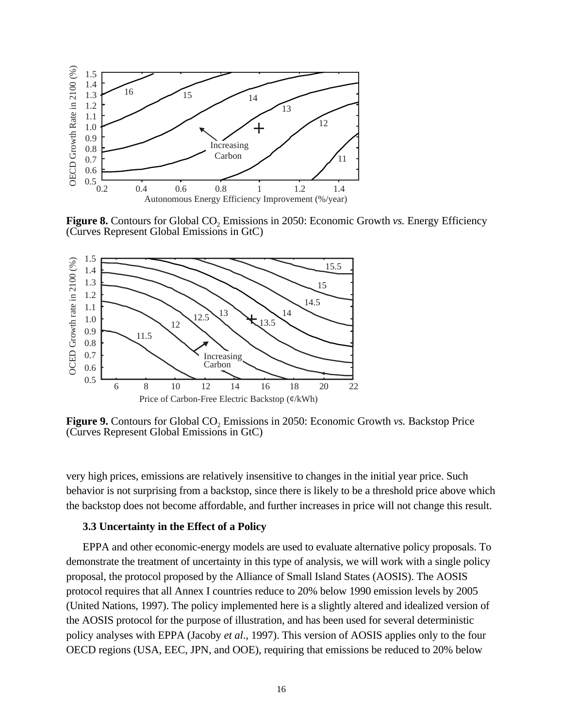

**Figure 8.** Contours for Global CO<sub>2</sub> Emissions in 2050: Economic Growth *vs.* Energy Efficiency (Curves Represent Global Emissions in GtC)



**Figure 9.** Contours for Global CO<sub>2</sub> Emissions in 2050: Economic Growth *vs*. Backstop Price (Curves Represent Global Emissions in GtC)

very high prices, emissions are relatively insensitive to changes in the initial year price. Such behavior is not surprising from a backstop, since there is likely to be a threshold price above which the backstop does not become affordable, and further increases in price will not change this result.

#### **3.3 Uncertainty in the Effect of a Policy**

EPPA and other economic-energy models are used to evaluate alternative policy proposals. To demonstrate the treatment of uncertainty in this type of analysis, we will work with a single policy proposal, the protocol proposed by the Alliance of Small Island States (AOSIS). The AOSIS protocol requires that all Annex I countries reduce to 20% below 1990 emission levels by 2005 (United Nations, 1997). The policy implemented here is a slightly altered and idealized version of the AOSIS protocol for the purpose of illustration, and has been used for several deterministic policy analyses with EPPA (Jacoby *et al*., 1997). This version of AOSIS applies only to the four OECD regions (USA, EEC, JPN, and OOE), requiring that emissions be reduced to 20% below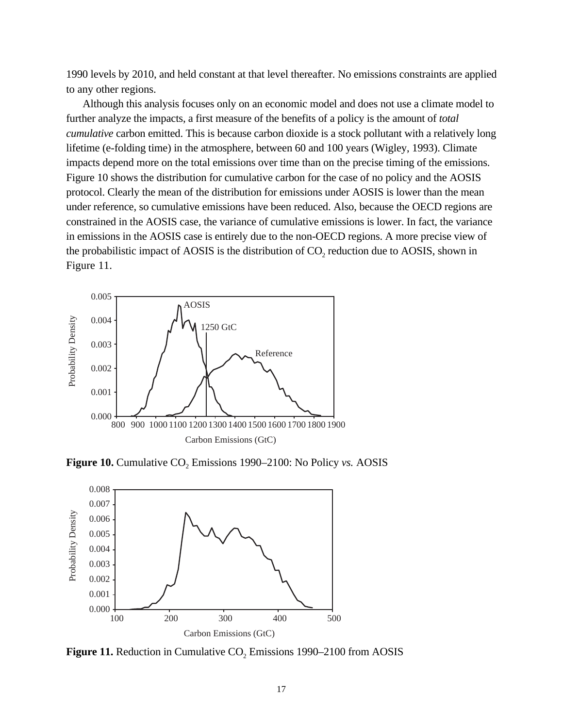1990 levels by 2010, and held constant at that level thereafter. No emissions constraints are applied to any other regions.

Although this analysis focuses only on an economic model and does not use a climate model to further analyze the impacts, a first measure of the benefits of a policy is the amount of *total cumulative* carbon emitted. This is because carbon dioxide is a stock pollutant with a relatively long lifetime (e-folding time) in the atmosphere, between 60 and 100 years (Wigley, 1993). Climate impacts depend more on the total emissions over time than on the precise timing of the emissions. Figure 10 shows the distribution for cumulative carbon for the case of no policy and the AOSIS protocol. Clearly the mean of the distribution for emissions under AOSIS is lower than the mean under reference, so cumulative emissions have been reduced. Also, because the OECD regions are constrained in the AOSIS case, the variance of cumulative emissions is lower. In fact, the variance in emissions in the AOSIS case is entirely due to the non-OECD regions. A more precise view of the probabilistic impact of AOSIS is the distribution of  $CO<sub>2</sub>$  reduction due to AOSIS, shown in Figure 11.



**Figure 10.** Cumulative  $CO<sub>2</sub>$  Emissions 1990–2100: No Policy *vs.* AOSIS



**Figure 11.** Reduction in Cumulative  $CO<sub>2</sub>$  Emissions 1990–2100 from AOSIS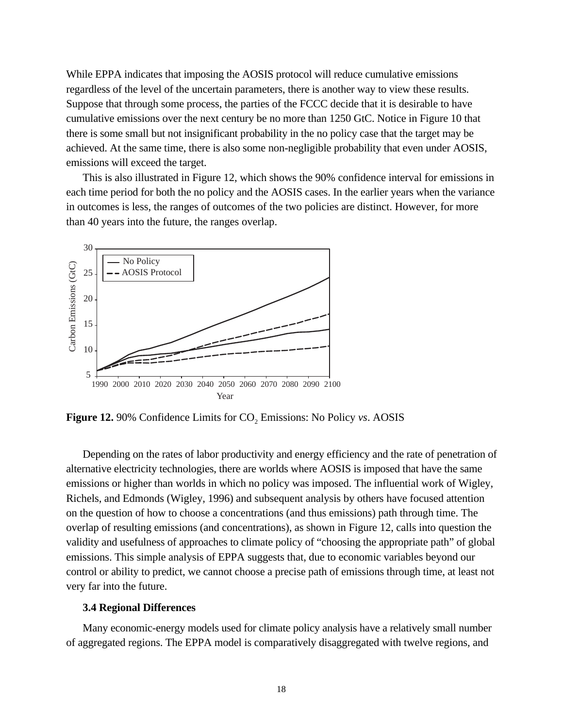While EPPA indicates that imposing the AOSIS protocol will reduce cumulative emissions regardless of the level of the uncertain parameters, there is another way to view these results. Suppose that through some process, the parties of the FCCC decide that it is desirable to have cumulative emissions over the next century be no more than 1250 GtC. Notice in Figure 10 that there is some small but not insignificant probability in the no policy case that the target may be achieved. At the same time, there is also some non-negligible probability that even under AOSIS, emissions will exceed the target.

This is also illustrated in Figure 12, which shows the 90% confidence interval for emissions in each time period for both the no policy and the AOSIS cases. In the earlier years when the variance in outcomes is less, the ranges of outcomes of the two policies are distinct. However, for more than 40 years into the future, the ranges overlap.



**Figure 12.** 90% Confidence Limits for CO<sub>2</sub> Emissions: No Policy *vs*. AOSIS

Depending on the rates of labor productivity and energy efficiency and the rate of penetration of alternative electricity technologies, there are worlds where AOSIS is imposed that have the same emissions or higher than worlds in which no policy was imposed. The influential work of Wigley, Richels, and Edmonds (Wigley, 1996) and subsequent analysis by others have focused attention on the question of how to choose a concentrations (and thus emissions) path through time. The overlap of resulting emissions (and concentrations), as shown in Figure 12, calls into question the validity and usefulness of approaches to climate policy of "choosing the appropriate path" of global emissions. This simple analysis of EPPA suggests that, due to economic variables beyond our control or ability to predict, we cannot choose a precise path of emissions through time, at least not very far into the future.

### **3.4 Regional Differences**

Many economic-energy models used for climate policy analysis have a relatively small number of aggregated regions. The EPPA model is comparatively disaggregated with twelve regions, and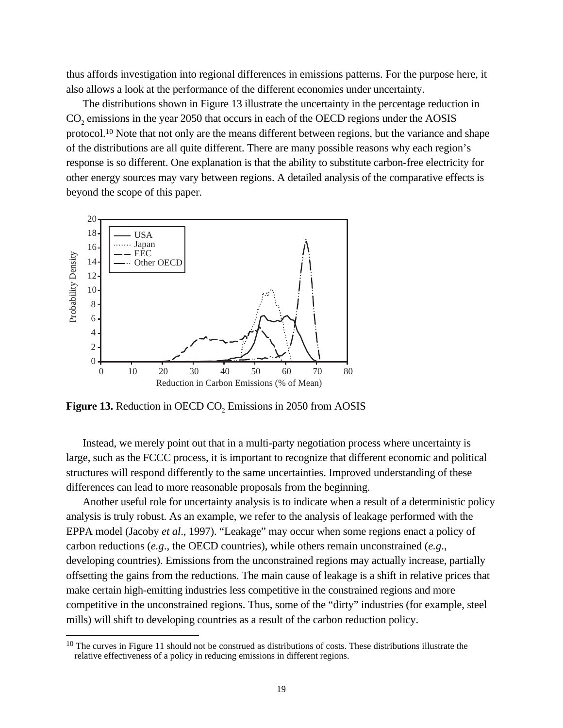thus affords investigation into regional differences in emissions patterns. For the purpose here, it also allows a look at the performance of the different economies under uncertainty.

The distributions shown in Figure 13 illustrate the uncertainty in the percentage reduction in CO<sub>2</sub> emissions in the year 2050 that occurs in each of the OECD regions under the AOSIS protocol.10 Note that not only are the means different between regions, but the variance and shape of the distributions are all quite different. There are many possible reasons why each region's response is so different. One explanation is that the ability to substitute carbon-free electricity for other energy sources may vary between regions. A detailed analysis of the comparative effects is beyond the scope of this paper.



**Figure 13.** Reduction in OECD  $CO<sub>2</sub>$  Emissions in 2050 from AOSIS

 $\overline{a}$ 

Instead, we merely point out that in a multi-party negotiation process where uncertainty is large, such as the FCCC process, it is important to recognize that different economic and political structures will respond differently to the same uncertainties. Improved understanding of these differences can lead to more reasonable proposals from the beginning.

Another useful role for uncertainty analysis is to indicate when a result of a deterministic policy analysis is truly robust. As an example, we refer to the analysis of leakage performed with the EPPA model (Jacoby *et al*., 1997). "Leakage" may occur when some regions enact a policy of carbon reductions (*e.g*., the OECD countries), while others remain unconstrained (*e.g*., developing countries). Emissions from the unconstrained regions may actually increase, partially offsetting the gains from the reductions. The main cause of leakage is a shift in relative prices that make certain high-emitting industries less competitive in the constrained regions and more competitive in the unconstrained regions. Thus, some of the "dirty" industries (for example, steel mills) will shift to developing countries as a result of the carbon reduction policy.

 $10$  The curves in Figure 11 should not be construed as distributions of costs. These distributions illustrate the relative effectiveness of a policy in reducing emissions in different regions.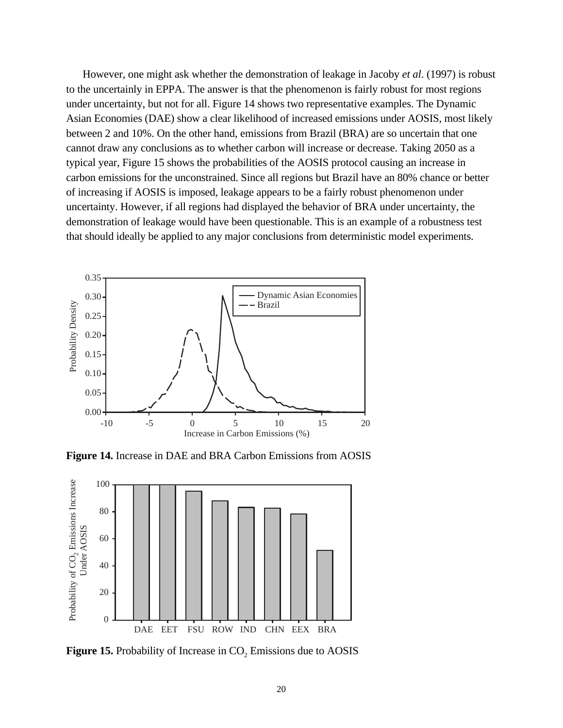However, one might ask whether the demonstration of leakage in Jacoby *et al*. (1997) is robust to the uncertainly in EPPA. The answer is that the phenomenon is fairly robust for most regions under uncertainty, but not for all. Figure 14 shows two representative examples. The Dynamic Asian Economies (DAE) show a clear likelihood of increased emissions under AOSIS, most likely between 2 and 10%. On the other hand, emissions from Brazil (BRA) are so uncertain that one cannot draw any conclusions as to whether carbon will increase or decrease. Taking 2050 as a typical year, Figure 15 shows the probabilities of the AOSIS protocol causing an increase in carbon emissions for the unconstrained. Since all regions but Brazil have an 80% chance or better of increasing if AOSIS is imposed, leakage appears to be a fairly robust phenomenon under uncertainty. However, if all regions had displayed the behavior of BRA under uncertainty, the demonstration of leakage would have been questionable. This is an example of a robustness test that should ideally be applied to any major conclusions from deterministic model experiments.



**Figure 14.** Increase in DAE and BRA Carbon Emissions from AOSIS



Figure 15. Probability of Increase in CO<sub>2</sub> Emissions due to AOSIS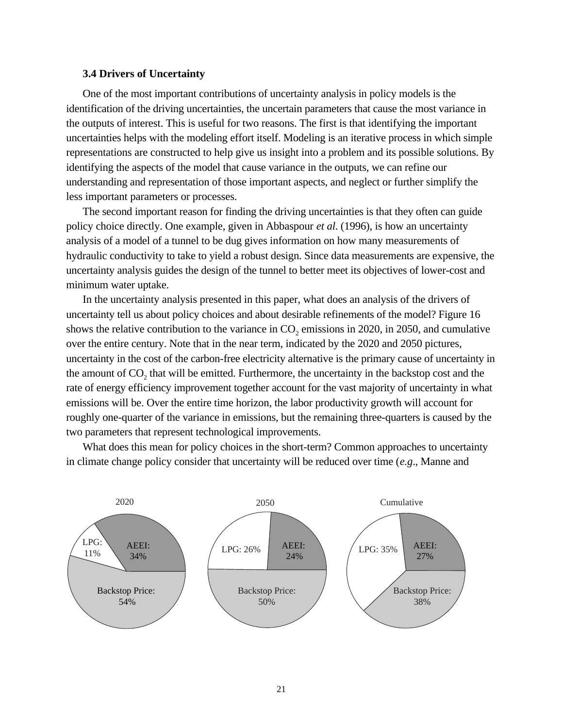### **3.4 Drivers of Uncertainty**

One of the most important contributions of uncertainty analysis in policy models is the identification of the driving uncertainties, the uncertain parameters that cause the most variance in the outputs of interest. This is useful for two reasons. The first is that identifying the important uncertainties helps with the modeling effort itself. Modeling is an iterative process in which simple representations are constructed to help give us insight into a problem and its possible solutions. By identifying the aspects of the model that cause variance in the outputs, we can refine our understanding and representation of those important aspects, and neglect or further simplify the less important parameters or processes.

The second important reason for finding the driving uncertainties is that they often can guide policy choice directly. One example, given in Abbaspour *et al*. (1996), is how an uncertainty analysis of a model of a tunnel to be dug gives information on how many measurements of hydraulic conductivity to take to yield a robust design. Since data measurements are expensive, the uncertainty analysis guides the design of the tunnel to better meet its objectives of lower-cost and minimum water uptake.

In the uncertainty analysis presented in this paper, what does an analysis of the drivers of uncertainty tell us about policy choices and about desirable refinements of the model? Figure 16 shows the relative contribution to the variance in  $CO<sub>2</sub>$  emissions in 2020, in 2050, and cumulative over the entire century. Note that in the near term, indicated by the 2020 and 2050 pictures, uncertainty in the cost of the carbon-free electricity alternative is the primary cause of uncertainty in the amount of  $CO<sub>2</sub>$  that will be emitted. Furthermore, the uncertainty in the backstop cost and the rate of energy efficiency improvement together account for the vast majority of uncertainty in what emissions will be. Over the entire time horizon, the labor productivity growth will account for roughly one-quarter of the variance in emissions, but the remaining three-quarters is caused by the two parameters that represent technological improvements.

What does this mean for policy choices in the short-term? Common approaches to uncertainty in climate change policy consider that uncertainty will be reduced over time (*e.g*., Manne and

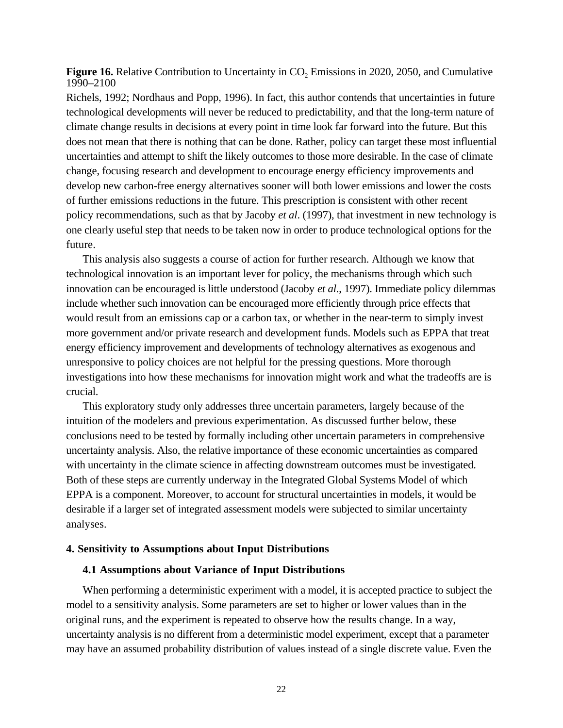**Figure 16.** Relative Contribution to Uncertainty in CO<sub>2</sub> Emissions in 2020, 2050, and Cumulative 1990–2100

Richels, 1992; Nordhaus and Popp, 1996). In fact, this author contends that uncertainties in future technological developments will never be reduced to predictability, and that the long-term nature of climate change results in decisions at every point in time look far forward into the future. But this does not mean that there is nothing that can be done. Rather, policy can target these most influential uncertainties and attempt to shift the likely outcomes to those more desirable. In the case of climate change, focusing research and development to encourage energy efficiency improvements and develop new carbon-free energy alternatives sooner will both lower emissions and lower the costs of further emissions reductions in the future. This prescription is consistent with other recent policy recommendations, such as that by Jacoby *et al*. (1997), that investment in new technology is one clearly useful step that needs to be taken now in order to produce technological options for the future.

This analysis also suggests a course of action for further research. Although we know that technological innovation is an important lever for policy, the mechanisms through which such innovation can be encouraged is little understood (Jacoby *et al*., 1997). Immediate policy dilemmas include whether such innovation can be encouraged more efficiently through price effects that would result from an emissions cap or a carbon tax, or whether in the near-term to simply invest more government and/or private research and development funds. Models such as EPPA that treat energy efficiency improvement and developments of technology alternatives as exogenous and unresponsive to policy choices are not helpful for the pressing questions. More thorough investigations into how these mechanisms for innovation might work and what the tradeoffs are is crucial.

This exploratory study only addresses three uncertain parameters, largely because of the intuition of the modelers and previous experimentation. As discussed further below, these conclusions need to be tested by formally including other uncertain parameters in comprehensive uncertainty analysis. Also, the relative importance of these economic uncertainties as compared with uncertainty in the climate science in affecting downstream outcomes must be investigated. Both of these steps are currently underway in the Integrated Global Systems Model of which EPPA is a component. Moreover, to account for structural uncertainties in models, it would be desirable if a larger set of integrated assessment models were subjected to similar uncertainty analyses.

#### **4. Sensitivity to Assumptions about Input Distributions**

# **4.1 Assumptions about Variance of Input Distributions**

When performing a deterministic experiment with a model, it is accepted practice to subject the model to a sensitivity analysis. Some parameters are set to higher or lower values than in the original runs, and the experiment is repeated to observe how the results change. In a way, uncertainty analysis is no different from a deterministic model experiment, except that a parameter may have an assumed probability distribution of values instead of a single discrete value. Even the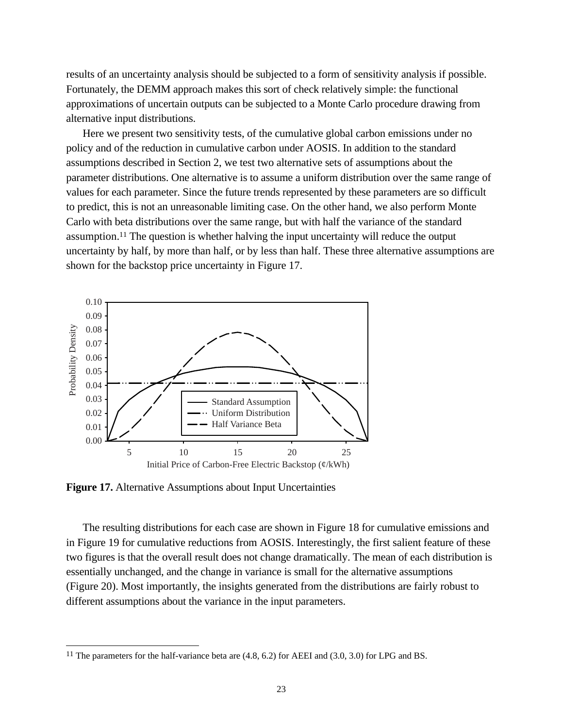results of an uncertainty analysis should be subjected to a form of sensitivity analysis if possible. Fortunately, the DEMM approach makes this sort of check relatively simple: the functional approximations of uncertain outputs can be subjected to a Monte Carlo procedure drawing from alternative input distributions.

Here we present two sensitivity tests, of the cumulative global carbon emissions under no policy and of the reduction in cumulative carbon under AOSIS. In addition to the standard assumptions described in Section 2, we test two alternative sets of assumptions about the parameter distributions. One alternative is to assume a uniform distribution over the same range of values for each parameter. Since the future trends represented by these parameters are so difficult to predict, this is not an unreasonable limiting case. On the other hand, we also perform Monte Carlo with beta distributions over the same range, but with half the variance of the standard assumption.11 The question is whether halving the input uncertainty will reduce the output uncertainty by half, by more than half, or by less than half. These three alternative assumptions are shown for the backstop price uncertainty in Figure 17.



**Figure 17.** Alternative Assumptions about Input Uncertainties

 $\overline{a}$ 

The resulting distributions for each case are shown in Figure 18 for cumulative emissions and in Figure 19 for cumulative reductions from AOSIS. Interestingly, the first salient feature of these two figures is that the overall result does not change dramatically. The mean of each distribution is essentially unchanged, and the change in variance is small for the alternative assumptions (Figure 20). Most importantly, the insights generated from the distributions are fairly robust to different assumptions about the variance in the input parameters.

<sup>&</sup>lt;sup>11</sup> The parameters for the half-variance beta are  $(4.8, 6.2)$  for AEEI and  $(3.0, 3.0)$  for LPG and BS.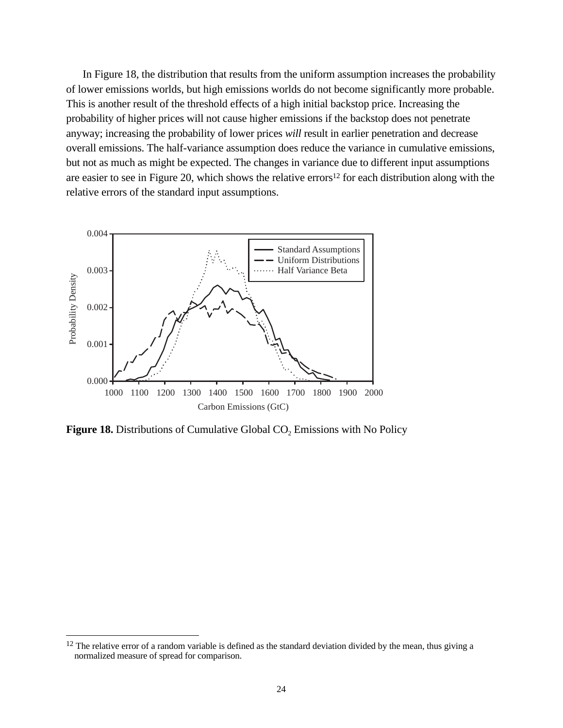In Figure 18, the distribution that results from the uniform assumption increases the probability of lower emissions worlds, but high emissions worlds do not become significantly more probable. This is another result of the threshold effects of a high initial backstop price. Increasing the probability of higher prices will not cause higher emissions if the backstop does not penetrate anyway; increasing the probability of lower prices *will* result in earlier penetration and decrease overall emissions. The half-variance assumption does reduce the variance in cumulative emissions, but not as much as might be expected. The changes in variance due to different input assumptions are easier to see in Figure 20, which shows the relative errors12 for each distribution along with the relative errors of the standard input assumptions.



**Figure 18.** Distributions of Cumulative Global CO<sub>2</sub> Emissions with No Policy

 $\overline{a}$ 

 $12$  The relative error of a random variable is defined as the standard deviation divided by the mean, thus giving a normalized measure of spread for comparison.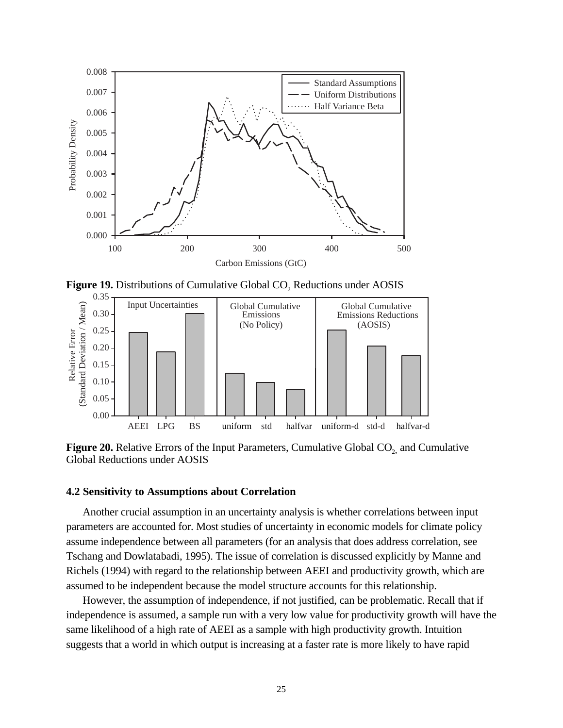

Figure 19. Distributions of Cumulative Global CO<sub>2</sub> Reductions under AOSIS



**Figure 20.** Relative Errors of the Input Parameters, Cumulative Global CO<sub>2</sub>, and Cumulative Global Reductions under AOSIS

# **4.2 Sensitivity to Assumptions about Correlation**

Another crucial assumption in an uncertainty analysis is whether correlations between input parameters are accounted for. Most studies of uncertainty in economic models for climate policy assume independence between all parameters (for an analysis that does address correlation, see Tschang and Dowlatabadi, 1995). The issue of correlation is discussed explicitly by Manne and Richels (1994) with regard to the relationship between AEEI and productivity growth, which are assumed to be independent because the model structure accounts for this relationship.

However, the assumption of independence, if not justified, can be problematic. Recall that if independence is assumed, a sample run with a very low value for productivity growth will have the same likelihood of a high rate of AEEI as a sample with high productivity growth. Intuition suggests that a world in which output is increasing at a faster rate is more likely to have rapid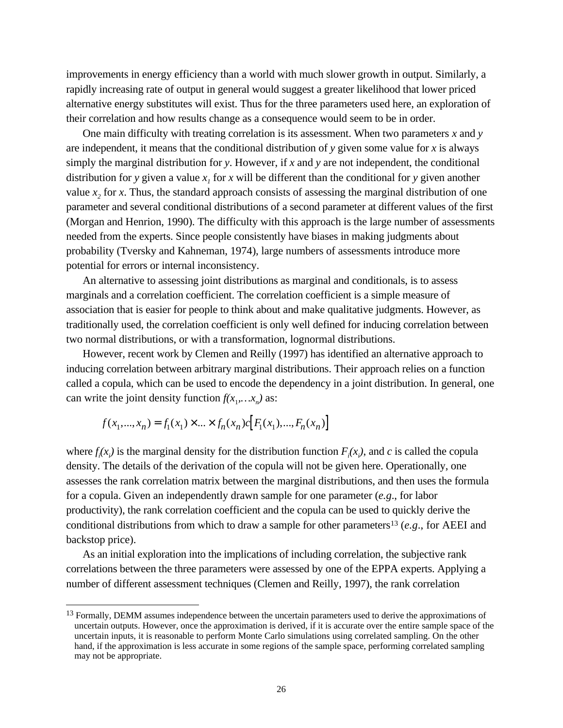improvements in energy efficiency than a world with much slower growth in output. Similarly, a rapidly increasing rate of output in general would suggest a greater likelihood that lower priced alternative energy substitutes will exist. Thus for the three parameters used here, an exploration of their correlation and how results change as a consequence would seem to be in order.

One main difficulty with treating correlation is its assessment. When two parameters *x* and *y* are independent, it means that the conditional distribution of *y* given some value for *x* is always simply the marginal distribution for *y*. However, if *x* and *y* are not independent, the conditional distribution for *y* given a value  $x<sub>i</sub>$  for  $x$  will be different than the conditional for *y* given another value  $x<sub>2</sub>$ , for  $x$ . Thus, the standard approach consists of assessing the marginal distribution of one parameter and several conditional distributions of a second parameter at different values of the first (Morgan and Henrion, 1990). The difficulty with this approach is the large number of assessments needed from the experts. Since people consistently have biases in making judgments about probability (Tversky and Kahneman, 1974), large numbers of assessments introduce more potential for errors or internal inconsistency.

An alternative to assessing joint distributions as marginal and conditionals, is to assess marginals and a correlation coefficient. The correlation coefficient is a simple measure of association that is easier for people to think about and make qualitative judgments. However, as traditionally used, the correlation coefficient is only well defined for inducing correlation between two normal distributions, or with a transformation, lognormal distributions.

However, recent work by Clemen and Reilly (1997) has identified an alternative approach to inducing correlation between arbitrary marginal distributions. Their approach relies on a function called a copula, which can be used to encode the dependency in a joint distribution. In general, one can write the joint density function  $f(x_1, \ldots, x_n)$  as:

$$
f(x_1,...,x_n) = f_1(x_1) \times ... \times f_n(x_n) c[F_1(x_1),...,F_n(x_n)]
$$

 $\overline{a}$ 

where  $f_i(x_i)$  is the marginal density for the distribution function  $F_i(x_i)$ , and *c* is called the copula density. The details of the derivation of the copula will not be given here. Operationally, one assesses the rank correlation matrix between the marginal distributions, and then uses the formula for a copula. Given an independently drawn sample for one parameter (*e.g*., for labor productivity), the rank correlation coefficient and the copula can be used to quickly derive the conditional distributions from which to draw a sample for other parameters13 (*e.g*., for AEEI and backstop price).

As an initial exploration into the implications of including correlation, the subjective rank correlations between the three parameters were assessed by one of the EPPA experts. Applying a number of different assessment techniques (Clemen and Reilly, 1997), the rank correlation

<sup>&</sup>lt;sup>13</sup> Formally, DEMM assumes independence between the uncertain parameters used to derive the approximations of uncertain outputs. However, once the approximation is derived, if it is accurate over the entire sample space of the uncertain inputs, it is reasonable to perform Monte Carlo simulations using correlated sampling. On the other hand, if the approximation is less accurate in some regions of the sample space, performing correlated sampling may not be appropriate.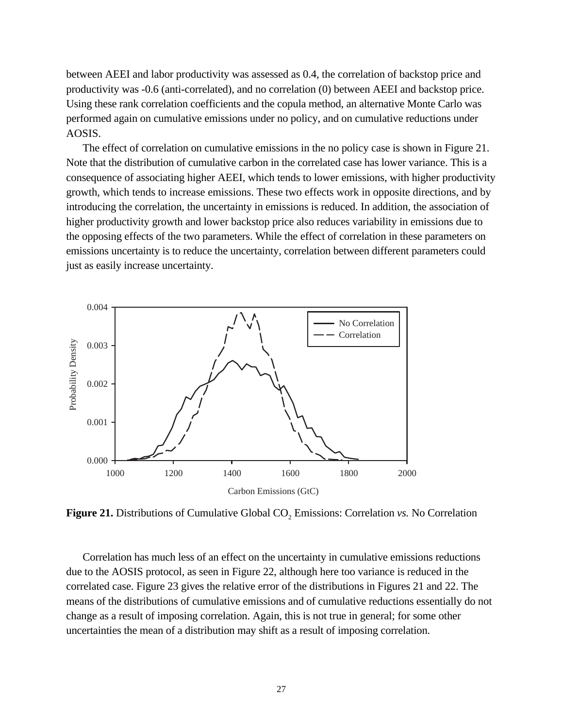between AEEI and labor productivity was assessed as 0.4, the correlation of backstop price and productivity was -0.6 (anti-correlated), and no correlation (0) between AEEI and backstop price. Using these rank correlation coefficients and the copula method, an alternative Monte Carlo was performed again on cumulative emissions under no policy, and on cumulative reductions under AOSIS.

The effect of correlation on cumulative emissions in the no policy case is shown in Figure 21. Note that the distribution of cumulative carbon in the correlated case has lower variance. This is a consequence of associating higher AEEI, which tends to lower emissions, with higher productivity growth, which tends to increase emissions. These two effects work in opposite directions, and by introducing the correlation, the uncertainty in emissions is reduced. In addition, the association of higher productivity growth and lower backstop price also reduces variability in emissions due to the opposing effects of the two parameters. While the effect of correlation in these parameters on emissions uncertainty is to reduce the uncertainty, correlation between different parameters could just as easily increase uncertainty.



**Figure 21.** Distributions of Cumulative Global  $CO<sub>2</sub>$  Emissions: Correlation *vs.* No Correlation

Correlation has much less of an effect on the uncertainty in cumulative emissions reductions due to the AOSIS protocol, as seen in Figure 22, although here too variance is reduced in the correlated case. Figure 23 gives the relative error of the distributions in Figures 21 and 22. The means of the distributions of cumulative emissions and of cumulative reductions essentially do not change as a result of imposing correlation. Again, this is not true in general; for some other uncertainties the mean of a distribution may shift as a result of imposing correlation.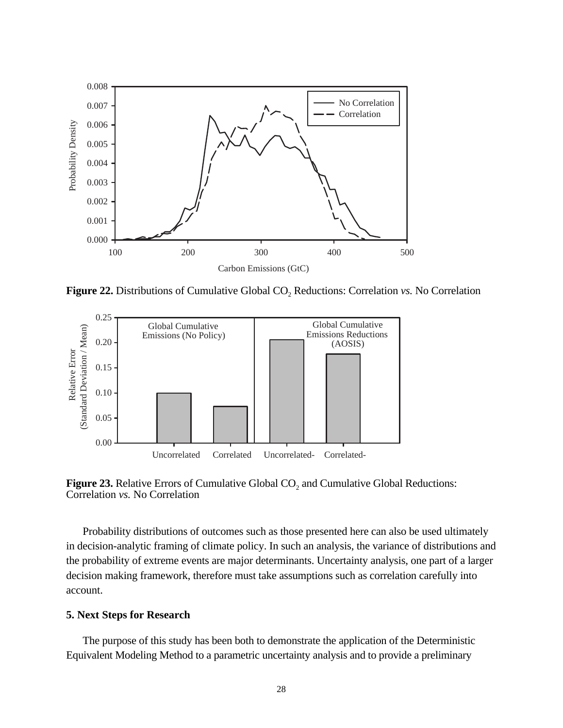

**Figure 22.** Distributions of Cumulative Global CO<sub>2</sub> Reductions: Correlation *vs.* No Correlation



**Figure 23.** Relative Errors of Cumulative Global  $CO<sub>2</sub>$  and Cumulative Global Reductions: Correlation *vs.* No Correlation

Probability distributions of outcomes such as those presented here can also be used ultimately in decision-analytic framing of climate policy. In such an analysis, the variance of distributions and the probability of extreme events are major determinants. Uncertainty analysis, one part of a larger decision making framework, therefore must take assumptions such as correlation carefully into account.

# **5. Next Steps for Research**

The purpose of this study has been both to demonstrate the application of the Deterministic Equivalent Modeling Method to a parametric uncertainty analysis and to provide a preliminary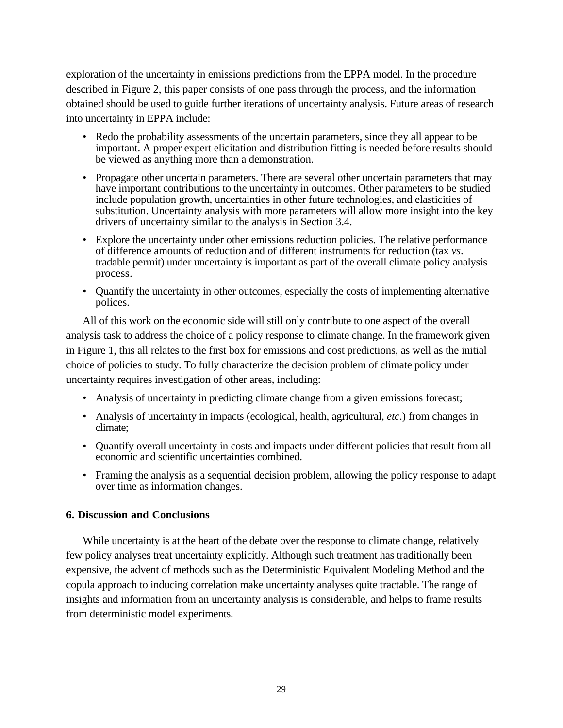exploration of the uncertainty in emissions predictions from the EPPA model. In the procedure described in Figure 2, this paper consists of one pass through the process, and the information obtained should be used to guide further iterations of uncertainty analysis. Future areas of research into uncertainty in EPPA include:

- Redo the probability assessments of the uncertain parameters, since they all appear to be important. A proper expert elicitation and distribution fitting is needed before results should be viewed as anything more than a demonstration.
- Propagate other uncertain parameters. There are several other uncertain parameters that may have important contributions to the uncertainty in outcomes. Other parameters to be studied include population growth, uncertainties in other future technologies, and elasticities of substitution. Uncertainty analysis with more parameters will allow more insight into the key drivers of uncertainty similar to the analysis in Section 3.4.
- Explore the uncertainty under other emissions reduction policies. The relative performance of difference amounts of reduction and of different instruments for reduction (tax *vs*. tradable permit) under uncertainty is important as part of the overall climate policy analysis process.
- Quantify the uncertainty in other outcomes, especially the costs of implementing alternative polices.

All of this work on the economic side will still only contribute to one aspect of the overall analysis task to address the choice of a policy response to climate change. In the framework given in Figure 1, this all relates to the first box for emissions and cost predictions, as well as the initial choice of policies to study. To fully characterize the decision problem of climate policy under uncertainty requires investigation of other areas, including:

- Analysis of uncertainty in predicting climate change from a given emissions forecast;
- Analysis of uncertainty in impacts (ecological, health, agricultural, *etc*.) from changes in climate;
- Quantify overall uncertainty in costs and impacts under different policies that result from all economic and scientific uncertainties combined.
- Framing the analysis as a sequential decision problem, allowing the policy response to adapt over time as information changes.

# **6. Discussion and Conclusions**

While uncertainty is at the heart of the debate over the response to climate change, relatively few policy analyses treat uncertainty explicitly. Although such treatment has traditionally been expensive, the advent of methods such as the Deterministic Equivalent Modeling Method and the copula approach to inducing correlation make uncertainty analyses quite tractable. The range of insights and information from an uncertainty analysis is considerable, and helps to frame results from deterministic model experiments.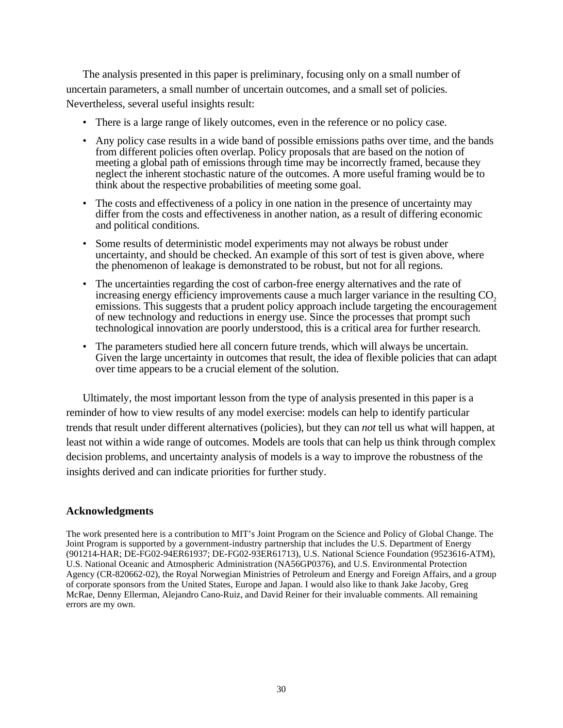The analysis presented in this paper is preliminary, focusing only on a small number of uncertain parameters, a small number of uncertain outcomes, and a small set of policies. Nevertheless, several useful insights result:

- There is a large range of likely outcomes, even in the reference or no policy case.
- Any policy case results in a wide band of possible emissions paths over time, and the bands from different policies often overlap. Policy proposals that are based on the notion of meeting a global path of emissions through time may be incorrectly framed, because they neglect the inherent stochastic nature of the outcomes. A more useful framing would be to think about the respective probabilities of meeting some goal.
- The costs and effectiveness of a policy in one nation in the presence of uncertainty may differ from the costs and effectiveness in another nation, as a result of differing economic and political conditions.
- Some results of deterministic model experiments may not always be robust under uncertainty, and should be checked. An example of this sort of test is given above, where the phenomenon of leakage is demonstrated to be robust, but not for all regions.
- The uncertainties regarding the cost of carbon-free energy alternatives and the rate of increasing energy efficiency improvements cause a much larger variance in the resulting  $CO<sub>2</sub>$ emissions. This suggests that a prudent policy approach include targeting the encouragement of new technology and reductions in energy use. Since the processes that prompt such technological innovation are poorly understood, this is a critical area for further research.
- The parameters studied here all concern future trends, which will always be uncertain. Given the large uncertainty in outcomes that result, the idea of flexible policies that can adapt over time appears to be a crucial element of the solution.

Ultimately, the most important lesson from the type of analysis presented in this paper is a reminder of how to view results of any model exercise: models can help to identify particular trends that result under different alternatives (policies), but they can *not* tell us what will happen, at least not within a wide range of outcomes. Models are tools that can help us think through complex decision problems, and uncertainty analysis of models is a way to improve the robustness of the insights derived and can indicate priorities for further study.

# **Acknowledgments**

The work presented here is a contribution to MIT's Joint Program on the Science and Policy of Global Change. The Joint Program is supported by a government-industry partnership that includes the U.S. Department of Energy (901214-HAR; DE-FG02-94ER61937; DE-FG02-93ER61713), U.S. National Science Foundation (9523616-ATM), U.S. National Oceanic and Atmospheric Administration (NA56GP0376), and U.S. Environmental Protection Agency (CR-820662-02), the Royal Norwegian Ministries of Petroleum and Energy and Foreign Affairs, and a group of corporate sponsors from the United States, Europe and Japan. I would also like to thank Jake Jacoby, Greg McRae, Denny Ellerman, Alejandro Cano-Ruiz, and David Reiner for their invaluable comments. All remaining errors are my own.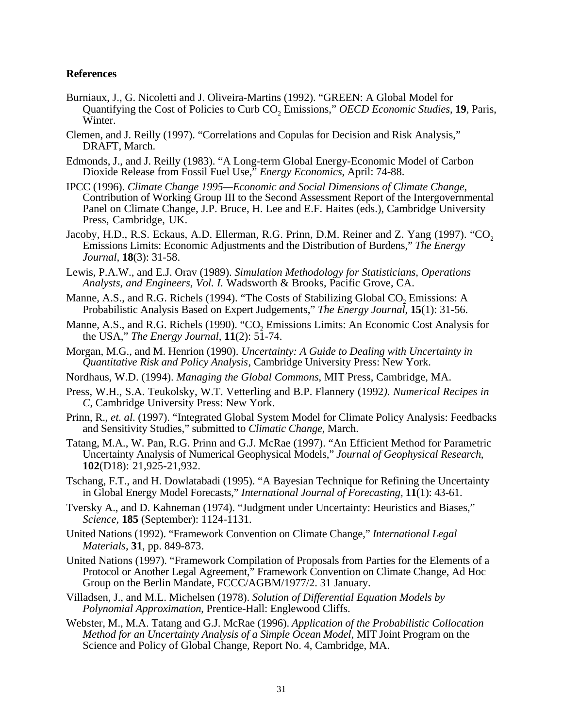# **References**

- Burniaux, J., G. Nicoletti and J. Oliveira-Martins (1992). "GREEN: A Global Model for Quantifying the Cost of Policies to Curb CO<sub>2</sub> Emissions," *OECD Economic Studies*, 19, Paris, Winter.
- Clemen, and J. Reilly (1997). "Correlations and Copulas for Decision and Risk Analysis," DRAFT, March.
- Edmonds, J., and J. Reilly (1983). "A Long-term Global Energy-Economic Model of Carbon Dioxide Release from Fossil Fuel Use," *Energy Economics*, April: 74-88.
- IPCC (1996). *Climate Change 1995—Economic and Social Dimensions of Climate Change*, Contribution of Working Group III to the Second Assessment Report of the Intergovernmental Panel on Climate Change, J.P. Bruce, H. Lee and E.F. Haites (eds.), Cambridge University Press, Cambridge, UK.
- Jacoby, H.D., R.S. Eckaus, A.D. Ellerman, R.G. Prinn, D.M. Reiner and Z. Yang (1997). "CO<sub>2</sub> Emissions Limits: Economic Adjustments and the Distribution of Burdens," *The Energy Journal*, **18**(3): 31-58.
- Lewis, P.A.W., and E.J. Orav (1989). *Simulation Methodology for Statisticians, Operations Analysts, and Engineers, Vol. I.* Wadsworth & Brooks, Pacific Grove, CA.
- Manne, A.S., and R.G. Richels (1994). "The Costs of Stabilizing Global CO<sub>2</sub> Emissions: A Probabilistic Analysis Based on Expert Judgements," *The Energy Journal*, **15**(1): 31-56.
- Manne, A.S., and R.G. Richels (1990). "CO<sub>2</sub> Emissions Limits: An Economic Cost Analysis for the USA," *The Energy Journal*,  $11(2)$ :  $5\overline{1}$ -74.
- Morgan, M.G., and M. Henrion (1990). *Uncertainty: A Guide to Dealing with Uncertainty in Quantitative Risk and Policy Analysis*, Cambridge University Press: New York.
- Nordhaus, W.D. (1994). *Managing the Global Commons*, MIT Press, Cambridge, MA.
- Press, W.H., S.A. Teukolsky, W.T. Vetterling and B.P. Flannery (1992*). Numerical Recipes in C*, Cambridge University Press: New York.
- Prinn, R., *et. al*. (1997). "Integrated Global System Model for Climate Policy Analysis: Feedbacks and Sensitivity Studies," submitted to *Climatic Change*, March.
- Tatang, M.A., W. Pan, R.G. Prinn and G.J. McRae (1997). "An Efficient Method for Parametric Uncertainty Analysis of Numerical Geophysical Models," *Journal of Geophysical Research*, **102**(D18): 21,925-21,932.
- Tschang, F.T., and H. Dowlatabadi (1995). "A Bayesian Technique for Refining the Uncertainty in Global Energy Model Forecasts," *International Journal of Forecasting,* **11**(1): 43-61.
- Tversky A., and D. Kahneman (1974). "Judgment under Uncertainty: Heuristics and Biases," *Science,* **185** (September): 1124-1131.
- United Nations (1992). "Framework Convention on Climate Change," *International Legal Materials*, **31**, pp. 849-873.
- United Nations (1997). "Framework Compilation of Proposals from Parties for the Elements of a Protocol or Another Legal Agreement," Framework Convention on Climate Change, Ad Hoc Group on the Berlin Mandate, FCCC/AGBM/1977/2. 31 January.
- Villadsen, J., and M.L. Michelsen (1978). *Solution of Differential Equation Models by Polynomial Approximation*, Prentice-Hall: Englewood Cliffs.
- Webster, M., M.A. Tatang and G.J. McRae (1996). *Application of the Probabilistic Collocation Method for an Uncertainty Analysis of a Simple Ocean Model*, MIT Joint Program on the Science and Policy of Global Change, Report No. 4, Cambridge, MA.